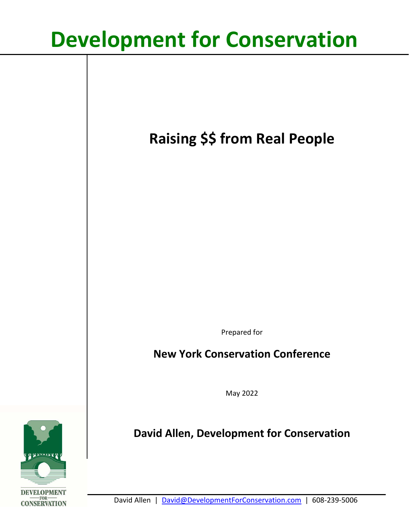# **Development for Conservation**

**Raising \$\$ from Real People**

Prepared for

## **New York Conservation Conference**

May 2022

# **David Allen, Development for Conservation**

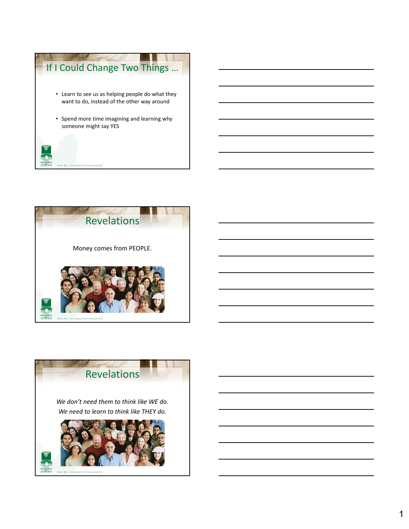



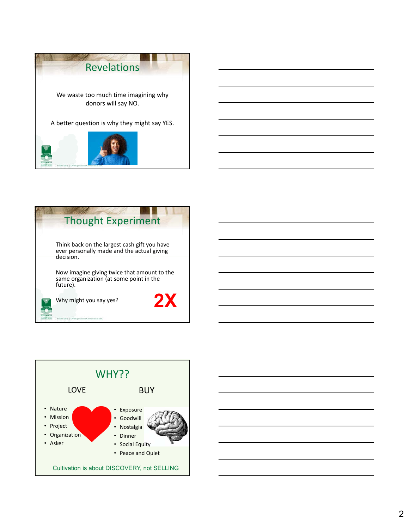





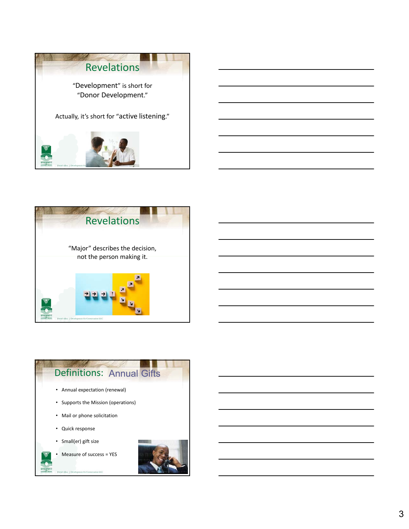



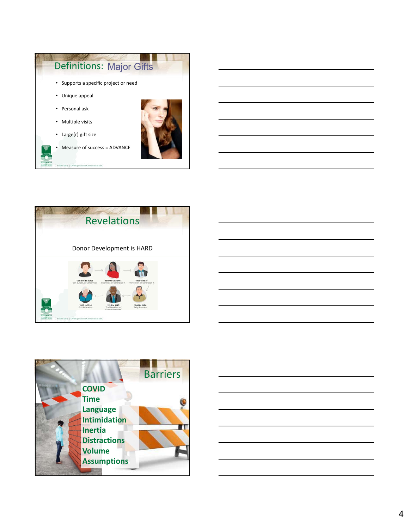







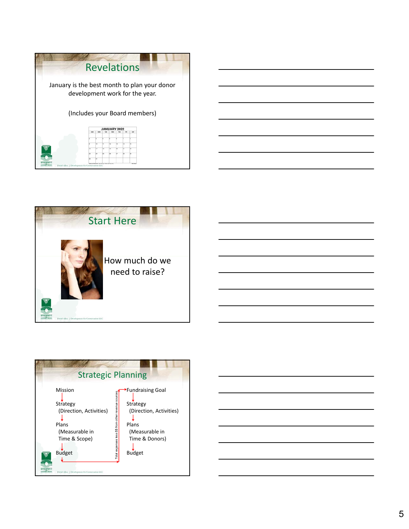





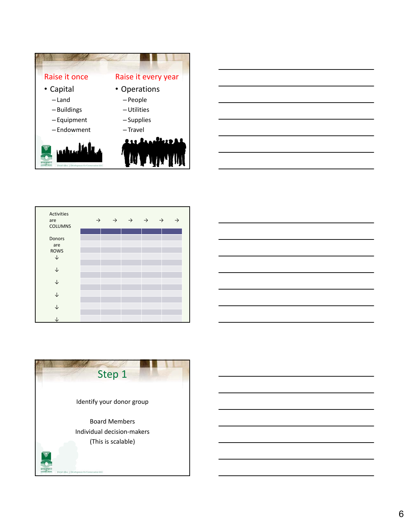



| <b>Activities</b><br>are<br><b>COLUMNS</b> | $\rightarrow$ | $\rightarrow$ | $\rightarrow$ | $\rightarrow$ | $\rightarrow$ | → |
|--------------------------------------------|---------------|---------------|---------------|---------------|---------------|---|
| Donors<br>are<br><b>ROWS</b><br>J          |               |               |               |               |               |   |
| ↓<br>↓                                     |               |               |               |               |               |   |
| ↓                                          |               |               |               |               |               |   |
| J                                          |               |               |               |               |               |   |



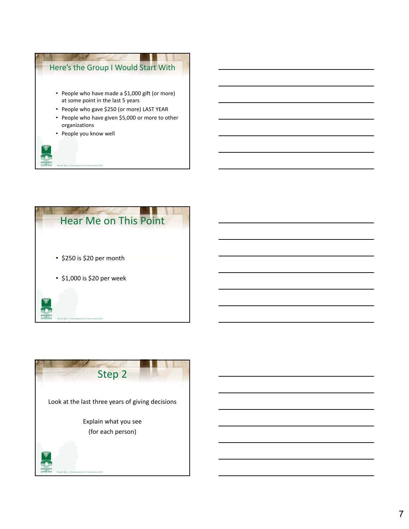



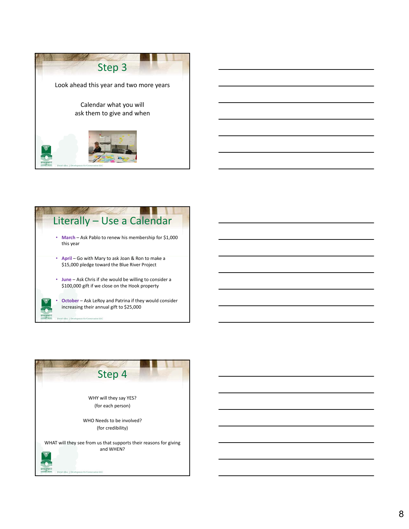



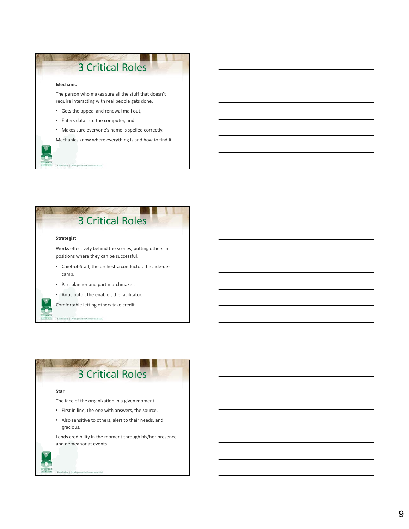

sion LLC



## 3 Critical Roles

#### **Star**

Allen | Der

The face of the organization in a given moment.

- First in line, the one with answers, the source.
- Also sensitive to others, alert to their needs, and gracious.

Lends credibility in the moment through his/her presence and demeanor at events.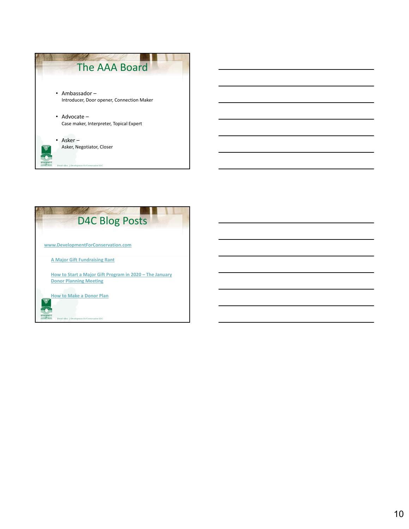

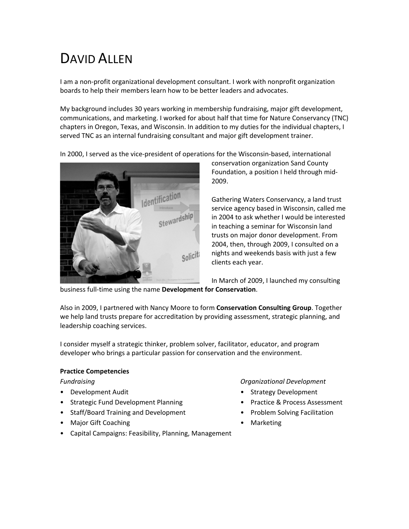# DAVID ALLEN

I am a non-profit organizational development consultant. I work with nonprofit organization boards to help their members learn how to be better leaders and advocates.

My background includes 30 years working in membership fundraising, major gift development, communications, and marketing. I worked for about half that time for Nature Conservancy (TNC) chapters in Oregon, Texas, and Wisconsin. In addition to my duties for the individual chapters, I served TNC as an internal fundraising consultant and major gift development trainer.

In 2000, I served as the vice-president of operations for the Wisconsin-based, international



conservation organization Sand County Foundation, a position I held through mid-2009.

Gathering Waters Conservancy, a land trust service agency based in Wisconsin, called me in 2004 to ask whether I would be interested in teaching a seminar for Wisconsin land trusts on major donor development. From 2004, then, through 2009, I consulted on a nights and weekends basis with just a few clients each year.

In March of 2009, I launched my consulting

business full-time using the name **Development for Conservation**.

Also in 2009, I partnered with Nancy Moore to form **Conservation Consulting Group**. Together we help land trusts prepare for accreditation by providing assessment, strategic planning, and leadership coaching services.

I consider myself a strategic thinker, problem solver, facilitator, educator, and program developer who brings a particular passion for conservation and the environment.

### **Practice Competencies**

- 
- Strategic Fund Development Planning Practice & Process Assessment
- Staff/Board Training and Development Problem Solving Facilitation
- Major Gift Coaching  **Marketing**
- Capital Campaigns: Feasibility, Planning, Management

*Fundraising Organizational Development*

- Development Audit  **Strategy Development** Strategy Development
	-
	-
	-